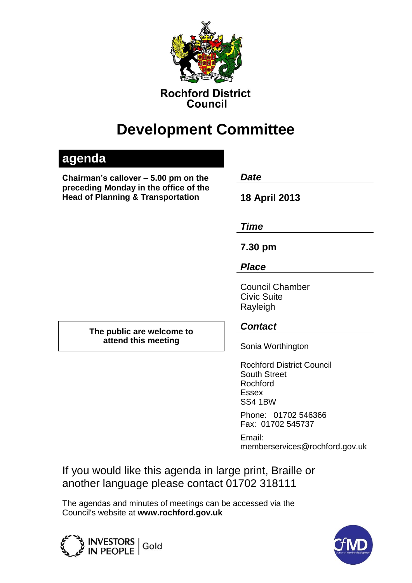

**Rochford District** Council

# **Development Committee**

## **agenda**

**Chairman's callover – 5.00 pm on the** *Date*  **preceding Monday in the office of the Head of Planning & Transportation 18 April 2013**

*Time*

**7.30 pm**

*Place*

Council Chamber Civic Suite Rayleigh

**The public are welcome to attend this meeting**

### *Contact*

Sonia Worthington

Rochford District Council South Street Rochford Essex SS4 1BW

Phone: 01702 546366 Fax: 01702 545737

Email: memberservices@rochford.gov.uk

If you would like this agenda in large print, Braille or another language please contact 01702 318111

The agendas and minutes of meetings can be accessed via the Council's website at **[www.rochford.gov.uk](http://www.rochford.gov.uk/)**



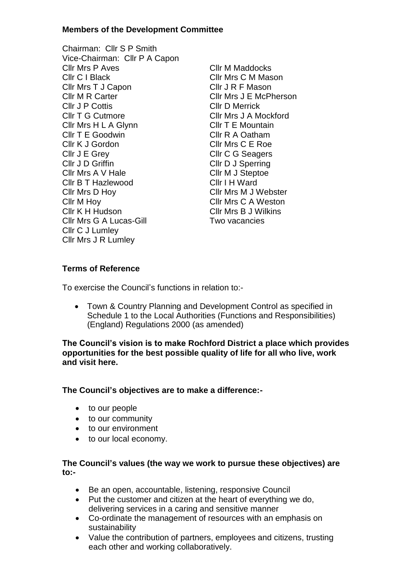#### **Members of the Development Committee**

- Chairman: Cllr S P Smith Vice-Chairman: Cllr P A Capon Cllr Mrs P Aves Cllr M Maddocks Cllr C I Black Cllr Mrs C M Mason Cllr Mrs T J Capon Cllr J R F Mason Cllr M R Carter Cllr Mrs J E McPherson Cllr J P Cottis Cllr D Merrick Cllr T G Cutmore Cllr Mrs J A Mockford Cllr Mrs H L A Glynn Cllr T E Mountain Cllr T E Goodwin Cllr R A Oatham Cllr K J Gordon Cllr Mrs C E Roe Cllr J E Grey Cllr C G Seagers Cllr J D Griffin Cllr D J Sperring Cllr Mrs A V Hale Cllr M J Steptoe Cllr B T Hazlewood Cllr I H Ward Cllr Mrs D Hoy Cllr Mrs M J Webster Cllr M Hoy<br>
Cllr Mrs C A Weston<br>
Cllr Mrs B J Wilkins Cllr Mrs G A Lucas-Gill Two vacancies Cllr C J Lumley Cllr Mrs J R Lumley
	- Cllr Mrs B J Wilkins

#### **Terms of Reference**

To exercise the Council's functions in relation to:-

 Town & Country Planning and Development Control as specified in Schedule 1 to the Local Authorities (Functions and Responsibilities) (England) Regulations 2000 (as amended)

**The Council's vision is to make Rochford District a place which provides opportunities for the best possible quality of life for all who live, work and visit here.** 

#### **The Council's objectives are to make a difference:-**

- to our people
- to our community
- to our environment
- to our local economy.

#### **The Council's values (the way we work to pursue these objectives) are to:-**

- Be an open, accountable, listening, responsive Council
- Put the customer and citizen at the heart of everything we do, delivering services in a caring and sensitive manner
- Co-ordinate the management of resources with an emphasis on sustainability
- Value the contribution of partners, employees and citizens, trusting each other and working collaboratively.